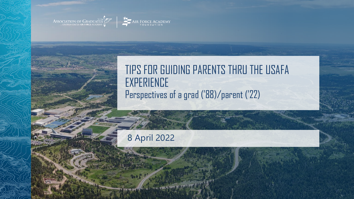ASSOCIATION OF GRADUATES



#### TIPS FOR GUIDING PARENTS THRU THE USAFA **EXPERIENCE** Perspectives of a grad ('88)/parent ('22)

#### 8 April 2022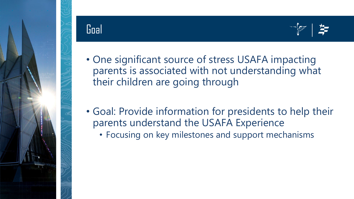

# Goal



- One significant source of stress USAFA impacting parents is associated with not understanding what their children are going through
- Goal: Provide information for presidents to help their parents understand the USAFA Experience
	- Focusing on key milestones and support mechanisms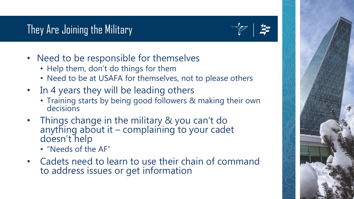# They Are Joining the Military

- Need to be responsible for themselves
	- Help them, don't do things for them
	- Need to be at USAFA for themselves, not to please others
- In 4 years they will be leading others
	- Training starts by being good followers & making their own decisions
- Things change in the military & you can't do anything about it – complaining to your cadet<br>doesn't help
	- "Needs of the AF"
- Cadets need to learn to use their chain of command to address issues or get information

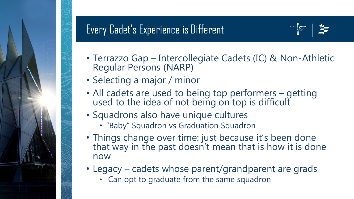# Every Cadet's Experience is Different



- Terrazzo Gap Intercollegiate Cadets (IC) & Non-Athletic Regular Persons (NARP)
- Selecting a major / minor
- All cadets are used to being top performers getting used to the idea of not being on top is difficult
- Squadrons also have unique cultures
	- "Baby" Squadron vs Graduation Squadron
- Things change over time: just because it's been done that way in the past doesn't mean that is how it is done now
- Legacy cadets whose parent/grandparent are grads
	- Can opt to graduate from the same squadron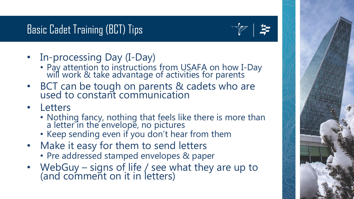# Basic Cadet Training (BCT) Tips



- In-processing Day (I-Day)
	- Pay attention to instructions from USAFA on how I-Day will work & take advantage of activities for parents
- BCT can be tough on parents & cadets who are used to constant communication
- **Letters** 
	- Nothing fancy, nothing that feels like there is more than a letter in the envelope, no pictures
	- Keep sending even if you don't hear from them
- Make it easy for them to send letters
	- Pre addressed stamped envelopes & paper
- WebGuy signs of life / see what they are up to (and comment on it in letters)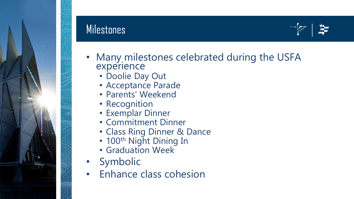

#### Milestones



- Many milestones celebrated during the USFA experience
	- Doolie Day Out
	- Acceptance Parade
	- Parents' Weekend
	- Recognition
	- Exemplar Dinner
	- Commitment Dinner
	- Class Ring Dinner & Dance
	- 100<sup>th</sup> Night Dining In
	- Graduation Week
- Symbolic
- Enhance class cohesion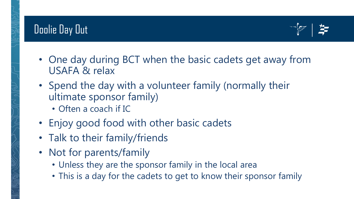## Doolie Day Out



- One day during BCT when the basic cadets get away from USAFA & relax
- Spend the day with a volunteer family (normally their ultimate sponsor family)
	- Often a coach if IC
- Enjoy good food with other basic cadets
- Talk to their family/friends
- Not for parents/family
	- Unless they are the sponsor family in the local area
	- This is a day for the cadets to get to know their sponsor family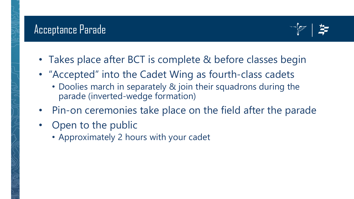

- Takes place after BCT is complete & before classes begin
- "Accepted" into the Cadet Wing as fourth-class cadets
	- Doolies march in separately & join their squadrons during the parade (inverted-wedge formation)
- Pin-on ceremonies take place on the field after the parade
- Open to the public
	- Approximately 2 hours with your cadet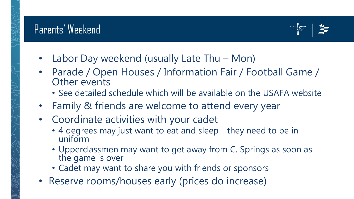

- Labor Day weekend (usually Late Thu Mon)
- Parade / Open Houses / Information Fair / Football Game / Other events
	- See detailed schedule which will be available on the USAFA website
- Family & friends are welcome to attend every year
- Coordinate activities with your cadet
	- 4 degrees may just want to eat and sleep they need to be in uniform
	- Upperclassmen may want to get away from C. Springs as soon as the game is over
	- Cadet may want to share you with friends or sponsors
- Reserve rooms/houses early (prices do increase)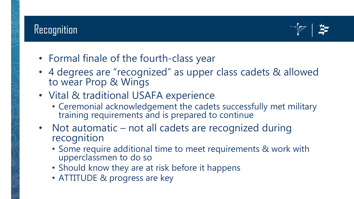#### Recognition



- Formal finale of the fourth-class year
- 4 degrees are "recognized" as upper class cadets & allowed to wear Prop & Wings
- Vital & traditional USAFA experience
	- Ceremonial acknowledgement the cadets successfully met military training requirements and is prepared to continue
- Not automatic not all cadets are recognized during recognition
	- Some require additional time to meet requirements & work with upperclassmen to do so
	- Should know they are at risk before it happens
	- ATTITUDE & progress are key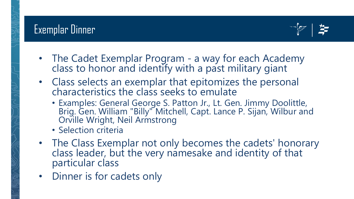

- The Cadet Exemplar Program a way for each Academy class to honor and identify with a past military giant
- Class selects an exemplar that epitomizes the personal characteristics the class seeks to emulate
	- Examples: General George S. Patton Jr., Lt. Gen. Jimmy Doolittle, Brig. Gen. William "Billy" Mitchell, Capt. Lance P. Sijan, Wilbur and Orville Wright, Neil Armstrong
	- Selection criteria
- The Class Exemplar not only becomes the cadets' honorary class leader, but the very namesake and identity of that particular class
- Dinner is for cadets only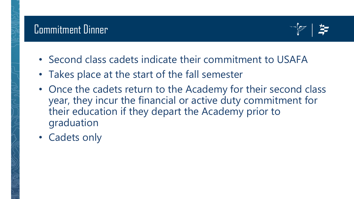

- Second class cadets indicate their commitment to USAFA
- Takes place at the start of the fall semester
- Once the cadets return to the Academy for their second class year, they incur the financial or active duty commitment for their education if they depart the Academy prior to graduation
- Cadets only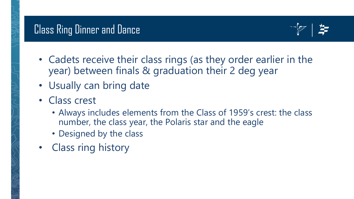## Class Ring Dinner and Dance



- Cadets receive their class rings (as they order earlier in the year) between finals & graduation their 2 deg year
- Usually can bring date
- Class crest
	- Always includes elements from the Class of 1959's crest: the class number, the class year, the Polaris star and the eagle
	- Designed by the class
- Class ring history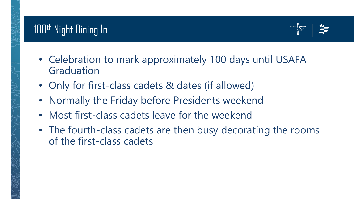

- Celebration to mark approximately 100 days until USAFA Graduation
- Only for first-class cadets & dates (if allowed)
- Normally the Friday before Presidents weekend
- Most first-class cadets leave for the weekend
- The fourth-class cadets are then busy decorating the rooms of the first-class cadets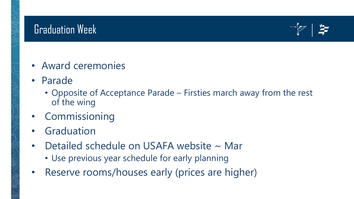#### Graduation Week



- Award ceremonies
- Parade
	- Opposite of Acceptance Parade Firsties march away from the rest of the wing
- Commissioning
- **Graduation**
- Detailed schedule on USAFA website ~ Mar
	- Use previous year schedule for early planning
- Reserve rooms/houses early (prices are higher)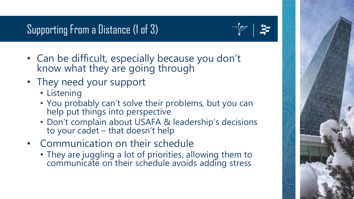# Supporting From a Distance (1 of 3)



- Can be difficult, especially because you don't know what they are going through
- They need your support
	- Listening
	- You probably can't solve their problems, but you can help put things into perspective
	- Don't complain about USAFA & leadership's decisions to your cadet – that doesn't help
- Communication on their schedule
	- They are juggling a lot of priorities, allowing them to communicate on their schedule avoids adding stress

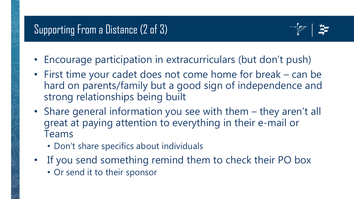

- Encourage participation in extracurriculars (but don't push)
- First time your cadet does not come home for break can be hard on parents/family but a good sign of independence and strong relationships being built
- Share general information you see with them they aren't all great at paying attention to everything in their e-mail or Teams
	- Don't share specifics about individuals
- If you send something remind them to check their PO box
	- Or send it to their sponsor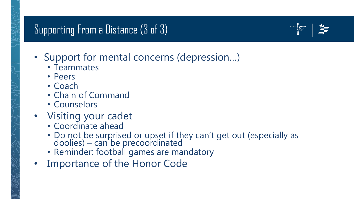### Supporting From a Distance (3 of 3)



- Support for mental concerns (depression…)
	- Teammates
	- Peers
	- Coach
	- Chain of Command
	- Counselors
- Visiting your cadet
	- Coordinate ahead
	- Do not be surprised or upset if they can't get out (especially as doolies) – can be precoordinated
	- Reminder: football games are mandatory
- Importance of the Honor Code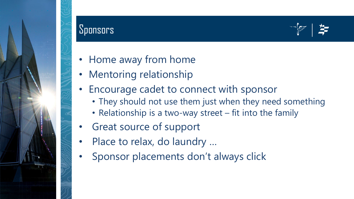#### **Sponsors**



- Home away from home
- Mentoring relationship
- Encourage cadet to connect with sponsor
	- They should not use them just when they need something
	- Relationship is a two-way street fit into the family
- Great source of support
- Place to relax, do laundry ...
- Sponsor placements don't always click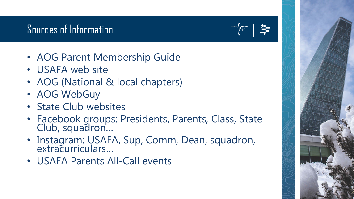## Sources of Information

- AOG Parent Membership Guide
- USAFA web site
- AOG (National & local chapters)
- AOG WebGuy
- State Club websites
- Facebook groups: Presidents, Parents, Class, State Club, squadron…
- Instagram: USAFA, Sup, Comm, Dean, squadron, extracurriculars…
- USAFA Parents All-Call events